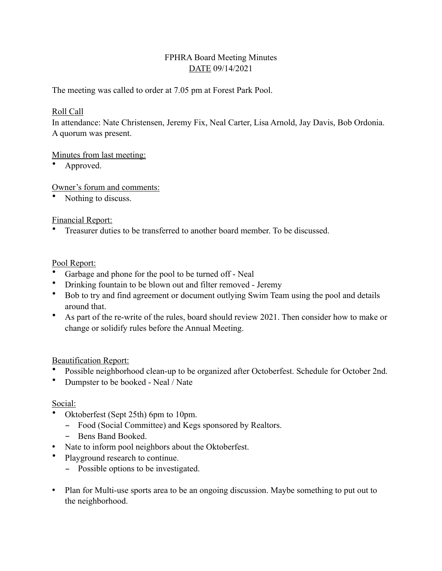## FPHRA Board Meeting Minutes DATE 09/14/2021

The meeting was called to order at 7.05 pm at Forest Park Pool.

#### Roll Call

In attendance: Nate Christensen, Jeremy Fix, Neal Carter, Lisa Arnold, Jay Davis, Bob Ordonia. A quorum was present.

### Minutes from last meeting:

• Approved.

Owner's forum and comments:

Nothing to discuss.

### Financial Report:

• Treasurer duties to be transferred to another board member. To be discussed.

### Pool Report:

- Garbage and phone for the pool to be turned off Neal
- Drinking fountain to be blown out and filter removed Jeremy
- Bob to try and find agreement or document outlying Swim Team using the pool and details around that.
- As part of the re-write of the rules, board should review 2021. Then consider how to make or change or solidify rules before the Annual Meeting.

## Beautification Report:

- Possible neighborhood clean-up to be organized after Octoberfest. Schedule for October 2nd.
- Dumpster to be booked Neal / Nate

#### Social:

- Oktoberfest (Sept 25th) 6pm to 10pm.
	- Food (Social Committee) and Kegs sponsored by Realtors.
	- Bens Band Booked.
- Nate to inform pool neighbors about the Oktoberfest.
- Playground research to continue.
	- Possible options to be investigated.
- Plan for Multi-use sports area to be an ongoing discussion. Maybe something to put out to the neighborhood.